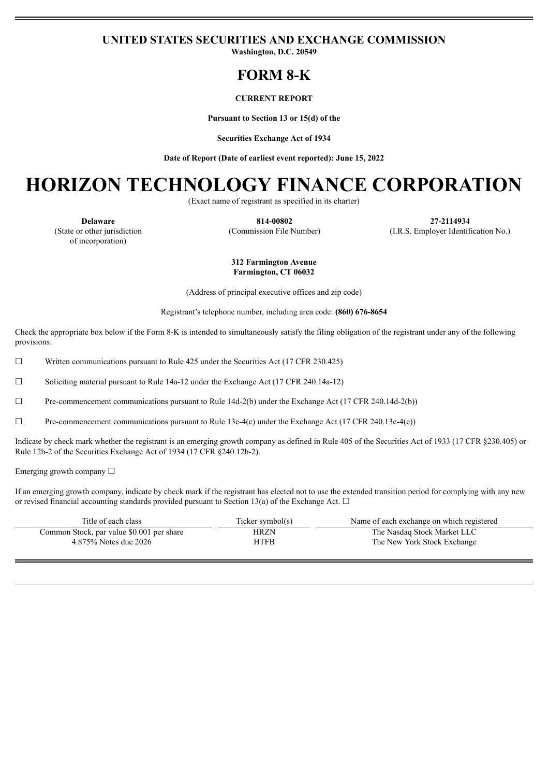#### **UNITED STATES SECURITIES AND EXCHANGE COMMISSION**

**Washington, D.C. 20549**

### **FORM 8-K**

#### **CURRENT REPORT**

**Pursuant to Section 13 or 15(d) of the**

**Securities Exchange Act of 1934**

**Date of Report (Date of earliest event reported): June 15, 2022**

## **HORIZON TECHNOLOGY FINANCE CORPORATION**

(Exact name of registrant as specified in its charter)

(State or other jurisdiction of incorporation)

**Delaware 814-00802 27-2114934** (Commission File Number) (I.R.S. Employer Identification No.)

#### **312 Farmington Avenue Farmington, CT 06032**

(Address of principal executive offices and zip code)

Registrant's telephone number, including area code: **(860) 676-8654**

Check the appropriate box below if the Form 8-K is intended to simultaneously satisfy the filing obligation of the registrant under any of the following provisions:

 $\Box$  Written communications pursuant to Rule 425 under the Securities Act (17 CFR 230.425)

☐ Soliciting material pursuant to Rule 14a-12 under the Exchange Act (17 CFR 240.14a-12)

☐ Pre-commencement communications pursuant to Rule 14d-2(b) under the Exchange Act (17 CFR 240.14d-2(b))

 $\Box$  Pre-commencement communications pursuant to Rule 13e-4(c) under the Exchange Act (17 CFR 240.13e-4(c))

Indicate by check mark whether the registrant is an emerging growth company as defined in Rule 405 of the Securities Act of 1933 (17 CFR §230.405) or Rule 12b-2 of the Securities Exchange Act of 1934 (17 CFR §240.12b-2).

Emerging growth company ☐

If an emerging growth company, indicate by check mark if the registrant has elected not to use the extended transition period for complying with any new or revised financial accounting standards provided pursuant to Section 13(a) of the Exchange Act.  $\Box$ 

| Title of each class                       | Ticker symbol(s) | Name of each exchange on which registered |  |
|-------------------------------------------|------------------|-------------------------------------------|--|
| Common Stock, par value \$0.001 per share | HRZN             | The Nasdaq Stock Market LLC               |  |
| 4.875% Notes due 2026                     | HTFB             | The New York Stock Exchange               |  |
|                                           |                  |                                           |  |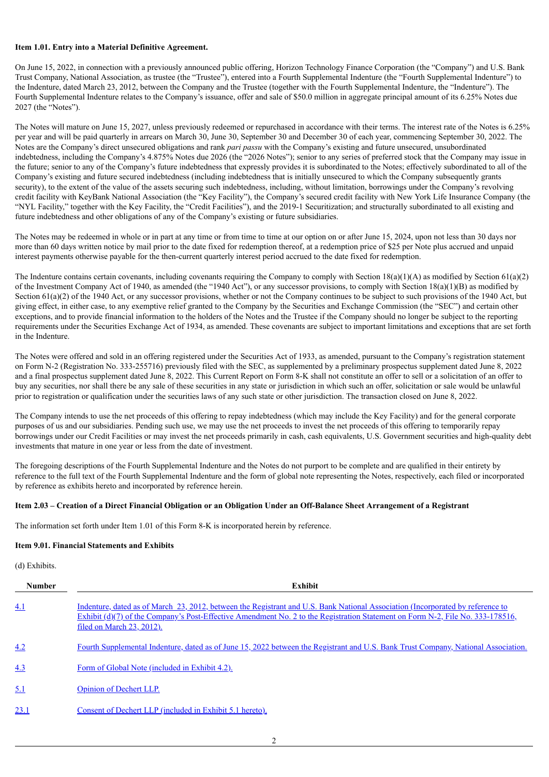#### **Item 1.01. Entry into a Material Definitive Agreement.**

On June 15, 2022, in connection with a previously announced public offering, Horizon Technology Finance Corporation (the "Company") and U.S. Bank Trust Company, National Association, as trustee (the "Trustee"), entered into a Fourth Supplemental Indenture (the "Fourth Supplemental Indenture") to the Indenture, dated March 23, 2012, between the Company and the Trustee (together with the Fourth Supplemental Indenture, the "Indenture"). The Fourth Supplemental Indenture relates to the Company's issuance, offer and sale of \$50.0 million in aggregate principal amount of its 6.25% Notes due 2027 (the "Notes").

The Notes will mature on June 15, 2027, unless previously redeemed or repurchased in accordance with their terms. The interest rate of the Notes is 6.25% per year and will be paid quarterly in arrears on March 30, June 30, September 30 and December 30 of each year, commencing September 30, 2022. The Notes are the Company's direct unsecured obligations and rank *pari passu* with the Company's existing and future unsecured, unsubordinated indebtedness, including the Company's 4.875% Notes due 2026 (the "2026 Notes"); senior to any series of preferred stock that the Company may issue in the future; senior to any of the Company's future indebtedness that expressly provides it is subordinated to the Notes; effectively subordinated to all of the Company's existing and future secured indebtedness (including indebtedness that is initially unsecured to which the Company subsequently grants security), to the extent of the value of the assets securing such indebtedness, including, without limitation, borrowings under the Company's revolving credit facility with KeyBank National Association (the "Key Facility"), the Company's secured credit facility with New York Life Insurance Company (the "NYL Facility," together with the Key Facility, the "Credit Facilities"), and the 2019-1 Securitization; and structurally subordinated to all existing and future indebtedness and other obligations of any of the Company's existing or future subsidiaries.

The Notes may be redeemed in whole or in part at any time or from time to time at our option on or after June 15, 2024, upon not less than 30 days nor more than 60 days written notice by mail prior to the date fixed for redemption thereof, at a redemption price of \$25 per Note plus accrued and unpaid interest payments otherwise payable for the then-current quarterly interest period accrued to the date fixed for redemption.

The Indenture contains certain covenants, including covenants requiring the Company to comply with Section  $18(a)(1)(A)$  as modified by Section  $61(a)(2)$ of the Investment Company Act of 1940, as amended (the "1940 Act"), or any successor provisions, to comply with Section  $18(a)(1)(B)$  as modified by Section 61(a)(2) of the 1940 Act, or any successor provisions, whether or not the Company continues to be subject to such provisions of the 1940 Act, but giving effect, in either case, to any exemptive relief granted to the Company by the Securities and Exchange Commission (the "SEC") and certain other exceptions, and to provide financial information to the holders of the Notes and the Trustee if the Company should no longer be subject to the reporting requirements under the Securities Exchange Act of 1934, as amended. These covenants are subject to important limitations and exceptions that are set forth in the Indenture.

The Notes were offered and sold in an offering registered under the Securities Act of 1933, as amended, pursuant to the Company's registration statement on Form N-2 (Registration No. 333-255716) previously filed with the SEC, as supplemented by a preliminary prospectus supplement dated June 8, 2022 and a final prospectus supplement dated June 8, 2022. This Current Report on Form 8-K shall not constitute an offer to sell or a solicitation of an offer to buy any securities, nor shall there be any sale of these securities in any state or jurisdiction in which such an offer, solicitation or sale would be unlawful prior to registration or qualification under the securities laws of any such state or other jurisdiction. The transaction closed on June 8, 2022.

The Company intends to use the net proceeds of this offering to repay indebtedness (which may include the Key Facility) and for the general corporate purposes of us and our subsidiaries. Pending such use, we may use the net proceeds to invest the net proceeds of this offering to temporarily repay borrowings under our Credit Facilities or may invest the net proceeds primarily in cash, cash equivalents, U.S. Government securities and high-quality debt investments that mature in one year or less from the date of investment.

The foregoing descriptions of the Fourth Supplemental Indenture and the Notes do not purport to be complete and are qualified in their entirety by reference to the full text of the Fourth Supplemental Indenture and the form of global note representing the Notes, respectively, each filed or incorporated by reference as exhibits hereto and incorporated by reference herein.

#### Item 2.03 – Creation of a Direct Financial Obligation or an Obligation Under an Off-Balance Sheet Arrangement of a Registrant

The information set forth under Item 1.01 of this Form 8-K is incorporated herein by reference.

#### **Item 9.01. Financial Statements and Exhibits**

(d) Exhibits.

| <b>Number</b> | <b>Exhibit</b>                                                                                                                                                                                                                                                                                         |  |  |
|---------------|--------------------------------------------------------------------------------------------------------------------------------------------------------------------------------------------------------------------------------------------------------------------------------------------------------|--|--|
| 4.1           | Indenture, dated as of March 23, 2012, between the Registrant and U.S. Bank National Association (Incorporated by reference to<br>Exhibit $(d)(7)$ of the Company's Post-Effective Amendment No. 2 to the Registration Statement on Form N-2, File No. 333-178516,<br><u>filed on March 23, 2012).</u> |  |  |
| 4.2           | Fourth Supplemental Indenture, dated as of June 15, 2022 between the Registrant and U.S. Bank Trust Company, National Association.                                                                                                                                                                     |  |  |
| 4.3           | Form of Global Note (included in Exhibit 4.2).                                                                                                                                                                                                                                                         |  |  |
| 5.1           | <b>Opinion of Dechert LLP.</b>                                                                                                                                                                                                                                                                         |  |  |
| 23.1          | Consent of Dechert LLP (included in Exhibit 5.1 hereto).                                                                                                                                                                                                                                               |  |  |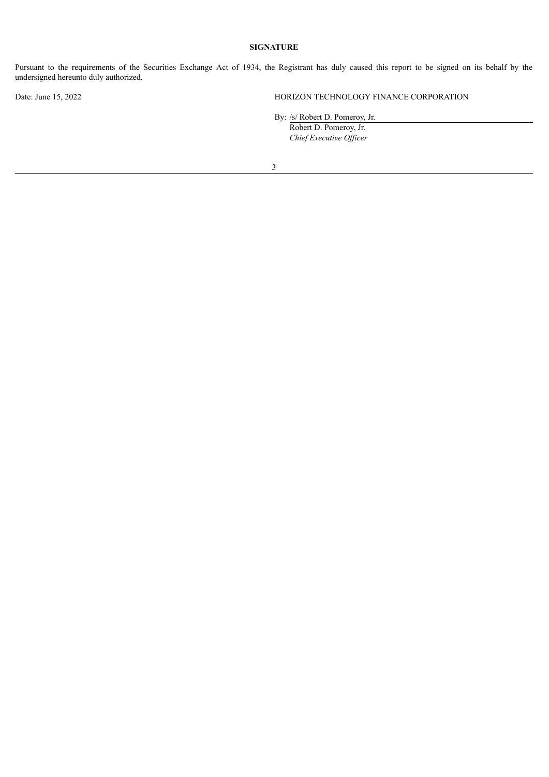#### **SIGNATURE**

Pursuant to the requirements of the Securities Exchange Act of 1934, the Registrant has duly caused this report to be signed on its behalf by the undersigned hereunto duly authorized.

Date: June 15, 2022 HORIZON TECHNOLOGY FINANCE CORPORATION

By: /s/ Robert D. Pomeroy, Jr.

Robert D. Pomeroy, Jr. *Chief Executive Of icer*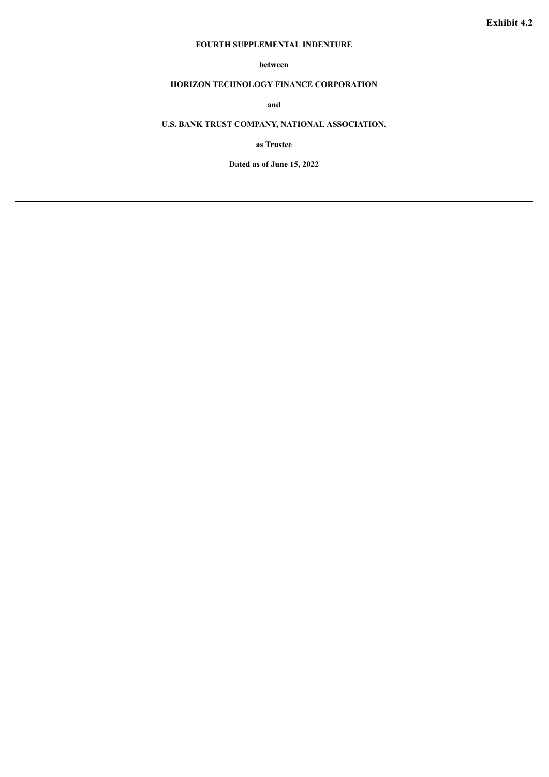#### **FOURTH SUPPLEMENTAL INDENTURE**

#### **between**

#### <span id="page-3-0"></span>**HORIZON TECHNOLOGY FINANCE CORPORATION**

**and**

#### **U.S. BANK TRUST COMPANY, NATIONAL ASSOCIATION,**

**as Trustee**

**Dated as of June 15, 2022**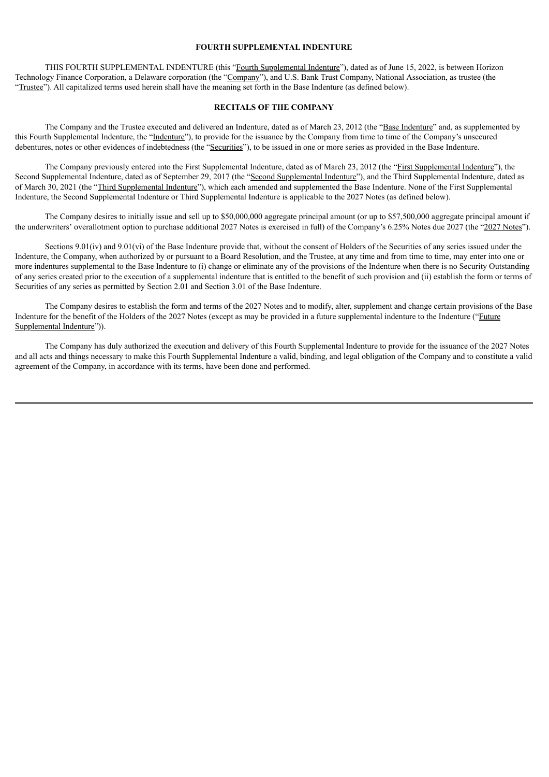#### **FOURTH SUPPLEMENTAL INDENTURE**

THIS FOURTH SUPPLEMENTAL INDENTURE (this "Fourth Supplemental Indenture"), dated as of June 15, 2022, is between Horizon Technology Finance Corporation, a Delaware corporation (the "Company"), and U.S. Bank Trust Company, National Association, as trustee (the "Trustee"). All capitalized terms used herein shall have the meaning set forth in the Base Indenture (as defined below).

#### **RECITALS OF THE COMPANY**

The Company and the Trustee executed and delivered an Indenture, dated as of March 23, 2012 (the "Base Indenture" and, as supplemented by this Fourth Supplemental Indenture, the "Indenture"), to provide for the issuance by the Company from time to time of the Company's unsecured debentures, notes or other evidences of indebtedness (the "Securities"), to be issued in one or more series as provided in the Base Indenture.

The Company previously entered into the First Supplemental Indenture, dated as of March 23, 2012 (the "First Supplemental Indenture"), the Second Supplemental Indenture, dated as of September 29, 2017 (the "Second Supplemental Indenture"), and the Third Supplemental Indenture, dated as of March 30, 2021 (the "Third Supplemental Indenture"), which each amended and supplemented the Base Indenture. None of the First Supplemental Indenture, the Second Supplemental Indenture or Third Supplemental Indenture is applicable to the 2027 Notes (as defined below).

The Company desires to initially issue and sell up to \$50,000,000 aggregate principal amount (or up to \$57,500,000 aggregate principal amount if the underwriters' overallotment option to purchase additional 2027 Notes is exercised in full) of the Company's 6.25% Notes due 2027 (the "2027 Notes").

Sections 9.01(iv) and 9.01(vi) of the Base Indenture provide that, without the consent of Holders of the Securities of any series issued under the Indenture, the Company, when authorized by or pursuant to a Board Resolution, and the Trustee, at any time and from time to time, may enter into one or more indentures supplemental to the Base Indenture to (i) change or eliminate any of the provisions of the Indenture when there is no Security Outstanding of any series created prior to the execution of a supplemental indenture that is entitled to the benefit of such provision and (ii) establish the form or terms of Securities of any series as permitted by Section 2.01 and Section 3.01 of the Base Indenture.

The Company desires to establish the form and terms of the 2027 Notes and to modify, alter, supplement and change certain provisions of the Base Indenture for the benefit of the Holders of the 2027 Notes (except as may be provided in a future supplemental indenture to the Indenture ("Future Supplemental Indenture")).

The Company has duly authorized the execution and delivery of this Fourth Supplemental Indenture to provide for the issuance of the 2027 Notes and all acts and things necessary to make this Fourth Supplemental Indenture a valid, binding, and legal obligation of the Company and to constitute a valid agreement of the Company, in accordance with its terms, have been done and performed.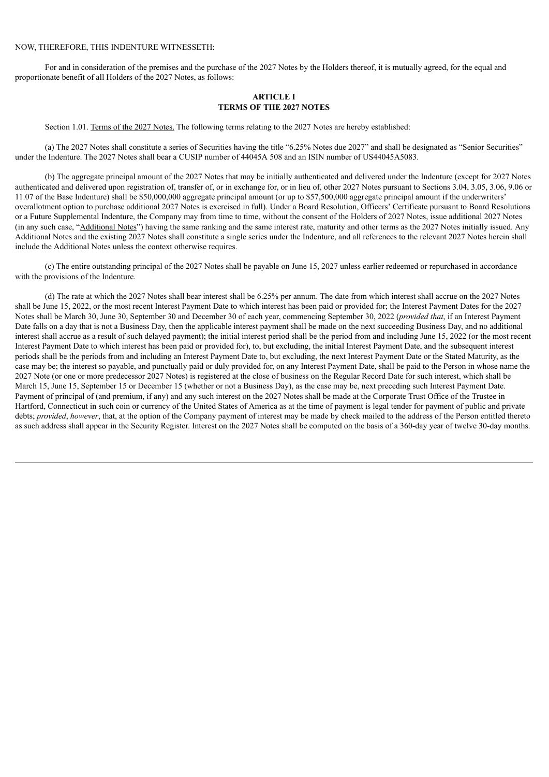#### NOW, THEREFORE, THIS INDENTURE WITNESSETH:

For and in consideration of the premises and the purchase of the 2027 Notes by the Holders thereof, it is mutually agreed, for the equal and proportionate benefit of all Holders of the 2027 Notes, as follows:

#### **ARTICLE I TERMS OF THE 2027 NOTES**

Section 1.01. Terms of the 2027 Notes. The following terms relating to the 2027 Notes are hereby established:

(a) The 2027 Notes shall constitute a series of Securities having the title "6.25% Notes due 2027" and shall be designated as "Senior Securities" under the Indenture. The 2027 Notes shall bear a CUSIP number of 44045A 508 and an ISIN number of US44045A5083.

(b) The aggregate principal amount of the 2027 Notes that may be initially authenticated and delivered under the Indenture (except for 2027 Notes authenticated and delivered upon registration of, transfer of, or in exchange for, or in lieu of, other 2027 Notes pursuant to Sections 3.04, 3.05, 3.06, 9.06 or 11.07 of the Base Indenture) shall be \$50,000,000 aggregate principal amount (or up to \$57,500,000 aggregate principal amount if the underwriters' overallotment option to purchase additional 2027 Notes is exercised in full). Under a Board Resolution, Officers' Certificate pursuant to Board Resolutions or a Future Supplemental Indenture, the Company may from time to time, without the consent of the Holders of 2027 Notes, issue additional 2027 Notes (in any such case, "Additional Notes") having the same ranking and the same interest rate, maturity and other terms as the 2027 Notes initially issued. Any Additional Notes and the existing 2027 Notes shall constitute a single series under the Indenture, and all references to the relevant 2027 Notes herein shall include the Additional Notes unless the context otherwise requires.

(c) The entire outstanding principal of the 2027 Notes shall be payable on June 15, 2027 unless earlier redeemed or repurchased in accordance with the provisions of the Indenture.

(d) The rate at which the 2027 Notes shall bear interest shall be 6.25% per annum. The date from which interest shall accrue on the 2027 Notes shall be June 15, 2022, or the most recent Interest Payment Date to which interest has been paid or provided for; the Interest Payment Dates for the 2027 Notes shall be March 30, June 30, September 30 and December 30 of each year, commencing September 30, 2022 (*provided that*, if an Interest Payment Date falls on a day that is not a Business Day, then the applicable interest payment shall be made on the next succeeding Business Day, and no additional interest shall accrue as a result of such delayed payment); the initial interest period shall be the period from and including June 15, 2022 (or the most recent Interest Payment Date to which interest has been paid or provided for), to, but excluding, the initial Interest Payment Date, and the subsequent interest periods shall be the periods from and including an Interest Payment Date to, but excluding, the next Interest Payment Date or the Stated Maturity, as the case may be; the interest so payable, and punctually paid or duly provided for, on any Interest Payment Date, shall be paid to the Person in whose name the 2027 Note (or one or more predecessor 2027 Notes) is registered at the close of business on the Regular Record Date for such interest, which shall be March 15, June 15, September 15 or December 15 (whether or not a Business Day), as the case may be, next preceding such Interest Payment Date. Payment of principal of (and premium, if any) and any such interest on the 2027 Notes shall be made at the Corporate Trust Office of the Trustee in Hartford, Connecticut in such coin or currency of the United States of America as at the time of payment is legal tender for payment of public and private debts; *provided*, *however*, that, at the option of the Company payment of interest may be made by check mailed to the address of the Person entitled thereto as such address shall appear in the Security Register. Interest on the 2027 Notes shall be computed on the basis of a 360-day year of twelve 30-day months.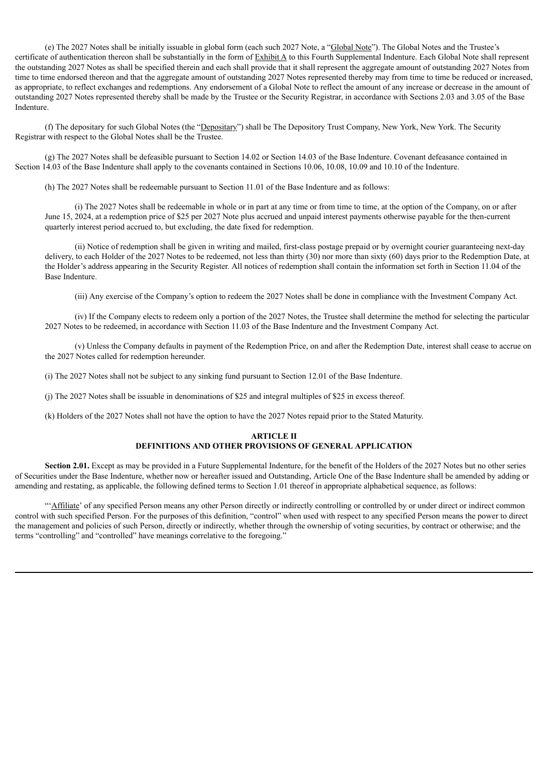(e) The 2027 Notes shall be initially issuable in global form (each such 2027 Note, a "Global Note"). The Global Notes and the Trustee's certificate of authentication thereon shall be substantially in the form of Exhibit A to this Fourth Supplemental Indenture. Each Global Note shall represent the outstanding 2027 Notes as shall be specified therein and each shall provide that it shall represent the aggregate amount of outstanding 2027 Notes from time to time endorsed thereon and that the aggregate amount of outstanding 2027 Notes represented thereby may from time to time be reduced or increased, as appropriate, to reflect exchanges and redemptions. Any endorsement of a Global Note to reflect the amount of any increase or decrease in the amount of outstanding 2027 Notes represented thereby shall be made by the Trustee or the Security Registrar, in accordance with Sections 2.03 and 3.05 of the Base Indenture.

(f) The depositary for such Global Notes (the "Depositary") shall be The Depository Trust Company, New York, New York. The Security Registrar with respect to the Global Notes shall be the Trustee.

(g) The 2027 Notes shall be defeasible pursuant to Section 14.02 or Section 14.03 of the Base Indenture. Covenant defeasance contained in Section 14.03 of the Base Indenture shall apply to the covenants contained in Sections 10.06, 10.08, 10.09 and 10.10 of the Indenture.

(h) The 2027 Notes shall be redeemable pursuant to Section 11.01 of the Base Indenture and as follows:

(i) The 2027 Notes shall be redeemable in whole or in part at any time or from time to time, at the option of the Company, on or after June 15, 2024, at a redemption price of \$25 per 2027 Note plus accrued and unpaid interest payments otherwise payable for the then-current quarterly interest period accrued to, but excluding, the date fixed for redemption.

(ii) Notice of redemption shall be given in writing and mailed, first-class postage prepaid or by overnight courier guaranteeing next-day delivery, to each Holder of the 2027 Notes to be redeemed, not less than thirty (30) nor more than sixty (60) days prior to the Redemption Date, at the Holder's address appearing in the Security Register. All notices of redemption shall contain the information set forth in Section 11.04 of the Base Indenture.

(iii) Any exercise of the Company's option to redeem the 2027 Notes shall be done in compliance with the Investment Company Act.

(iv) If the Company elects to redeem only a portion of the 2027 Notes, the Trustee shall determine the method for selecting the particular 2027 Notes to be redeemed, in accordance with Section 11.03 of the Base Indenture and the Investment Company Act.

(v) Unless the Company defaults in payment of the Redemption Price, on and after the Redemption Date, interest shall cease to accrue on the 2027 Notes called for redemption hereunder.

(i) The 2027 Notes shall not be subject to any sinking fund pursuant to Section 12.01 of the Base Indenture.

(j) The 2027 Notes shall be issuable in denominations of \$25 and integral multiples of \$25 in excess thereof.

(k) Holders of the 2027 Notes shall not have the option to have the 2027 Notes repaid prior to the Stated Maturity.

#### **ARTICLE II DEFINITIONS AND OTHER PROVISIONS OF GENERAL APPLICATION**

**Section 2.01.** Except as may be provided in a Future Supplemental Indenture, for the benefit of the Holders of the 2027 Notes but no other series of Securities under the Base Indenture, whether now or hereafter issued and Outstanding, Article One of the Base Indenture shall be amended by adding or amending and restating, as applicable, the following defined terms to Section 1.01 thereof in appropriate alphabetical sequence, as follows:

"'Affiliate' of any specified Person means any other Person directly or indirectly controlling or controlled by or under direct or indirect common control with such specified Person. For the purposes of this definition, "control" when used with respect to any specified Person means the power to direct the management and policies of such Person, directly or indirectly, whether through the ownership of voting securities, by contract or otherwise; and the terms "controlling" and "controlled" have meanings correlative to the foregoing."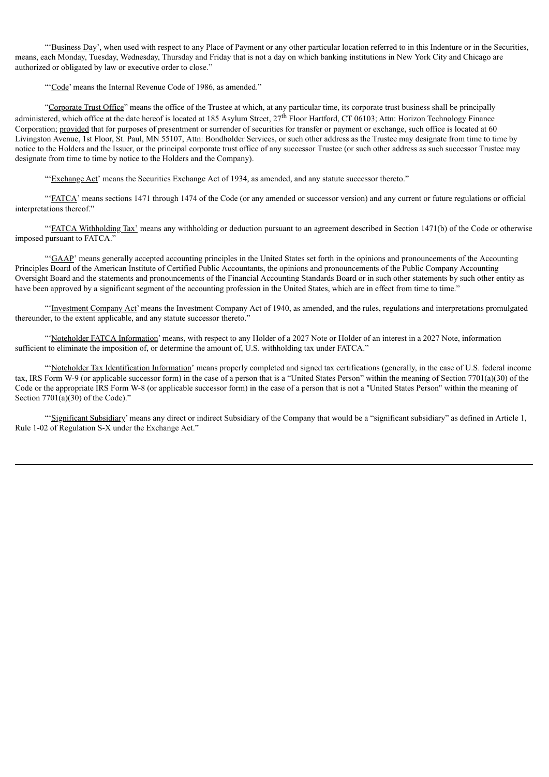"'Business Day', when used with respect to any Place of Payment or any other particular location referred to in this Indenture or in the Securities, means, each Monday, Tuesday, Wednesday, Thursday and Friday that is not a day on which banking institutions in New York City and Chicago are authorized or obligated by law or executive order to close."

"'Code' means the Internal Revenue Code of 1986, as amended."

"Corporate Trust Office" means the office of the Trustee at which, at any particular time, its corporate trust business shall be principally administered, which office at the date hereof is located at 185 Asylum Street, 27<sup>th</sup> Floor Hartford, CT 06103; Attn: Horizon Technology Finance Corporation; provided that for purposes of presentment or surrender of securities for transfer or payment or exchange, such office is located at 60 Livingston Avenue, 1st Floor, St. Paul, MN 55107, Attn: Bondholder Services, or such other address as the Trustee may designate from time to time by notice to the Holders and the Issuer, or the principal corporate trust office of any successor Trustee (or such other address as such successor Trustee may designate from time to time by notice to the Holders and the Company).

"'Exchange Act' means the Securities Exchange Act of 1934, as amended, and any statute successor thereto."

"'FATCA' means sections 1471 through 1474 of the Code (or any amended or successor version) and any current or future regulations or official interpretations thereof."

"'FATCA Withholding Tax' means any withholding or deduction pursuant to an agreement described in Section 1471(b) of the Code or otherwise imposed pursuant to FATCA."

"'GAAP' means generally accepted accounting principles in the United States set forth in the opinions and pronouncements of the Accounting Principles Board of the American Institute of Certified Public Accountants, the opinions and pronouncements of the Public Company Accounting Oversight Board and the statements and pronouncements of the Financial Accounting Standards Board or in such other statements by such other entity as have been approved by a significant segment of the accounting profession in the United States, which are in effect from time to time."

"Investment Company Act' means the Investment Company Act of 1940, as amended, and the rules, regulations and interpretations promulgated thereunder, to the extent applicable, and any statute successor thereto."

"'Noteholder FATCA Information' means, with respect to any Holder of a 2027 Note or Holder of an interest in a 2027 Note, information sufficient to eliminate the imposition of, or determine the amount of, U.S. withholding tax under FATCA."

"'Noteholder Tax Identification Information' means properly completed and signed tax certifications (generally, in the case of U.S. federal income tax, IRS Form W-9 (or applicable successor form) in the case of a person that is a "United States Person" within the meaning of Section 7701(a)(30) of the Code or the appropriate IRS Form W-8 (or applicable successor form) in the case of a person that is not a "United States Person" within the meaning of Section 7701(a)(30) of the Code)."

"Significant Subsidiary' means any direct or indirect Subsidiary of the Company that would be a "significant subsidiary" as defined in Article 1, Rule 1-02 of Regulation S-X under the Exchange Act."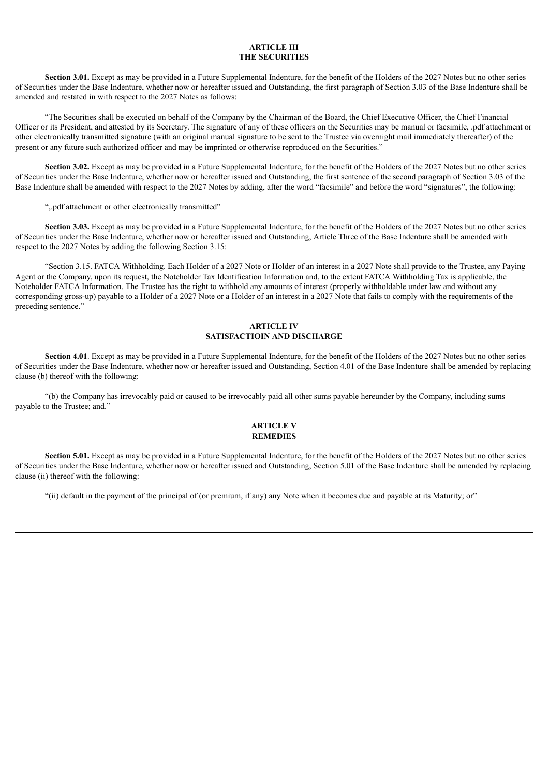#### **ARTICLE III THE SECURITIES**

**Section 3.01.** Except as may be provided in a Future Supplemental Indenture, for the benefit of the Holders of the 2027 Notes but no other series of Securities under the Base Indenture, whether now or hereafter issued and Outstanding, the first paragraph of Section 3.03 of the Base Indenture shall be amended and restated in with respect to the 2027 Notes as follows:

"The Securities shall be executed on behalf of the Company by the Chairman of the Board, the Chief Executive Officer, the Chief Financial Officer or its President, and attested by its Secretary. The signature of any of these officers on the Securities may be manual or facsimile, .pdf attachment or other electronically transmitted signature (with an original manual signature to be sent to the Trustee via overnight mail immediately thereafter) of the present or any future such authorized officer and may be imprinted or otherwise reproduced on the Securities."

**Section 3.02.** Except as may be provided in a Future Supplemental Indenture, for the benefit of the Holders of the 2027 Notes but no other series of Securities under the Base Indenture, whether now or hereafter issued and Outstanding, the first sentence of the second paragraph of Section 3.03 of the Base Indenture shall be amended with respect to the 2027 Notes by adding, after the word "facsimile" and before the word "signatures", the following:

",.pdf attachment or other electronically transmitted"

**Section 3.03.** Except as may be provided in a Future Supplemental Indenture, for the benefit of the Holders of the 2027 Notes but no other series of Securities under the Base Indenture, whether now or hereafter issued and Outstanding, Article Three of the Base Indenture shall be amended with respect to the 2027 Notes by adding the following Section 3.15:

"Section 3.15. FATCA Withholding. Each Holder of a 2027 Note or Holder of an interest in a 2027 Note shall provide to the Trustee, any Paying Agent or the Company, upon its request, the Noteholder Tax Identification Information and, to the extent FATCA Withholding Tax is applicable, the Noteholder FATCA Information. The Trustee has the right to withhold any amounts of interest (properly withholdable under law and without any corresponding gross-up) payable to a Holder of a 2027 Note or a Holder of an interest in a 2027 Note that fails to comply with the requirements of the preceding sentence."

#### **ARTICLE IV SATISFACTIOIN AND DISCHARGE**

**Section 4.01**. Except as may be provided in a Future Supplemental Indenture, for the benefit of the Holders of the 2027 Notes but no other series of Securities under the Base Indenture, whether now or hereafter issued and Outstanding, Section 4.01 of the Base Indenture shall be amended by replacing clause (b) thereof with the following:

"(b) the Company has irrevocably paid or caused to be irrevocably paid all other sums payable hereunder by the Company, including sums payable to the Trustee; and."

#### **ARTICLE V REMEDIES**

**Section <b>5.01.** Except as may be provided in a Future Supplemental Indenture, for the benefit of the Holders of the 2027 Notes but no other series of Securities under the Base Indenture, whether now or hereafter issued and Outstanding, Section 5.01 of the Base Indenture shall be amended by replacing clause (ii) thereof with the following:

"(ii) default in the payment of the principal of (or premium, if any) any Note when it becomes due and payable at its Maturity; or"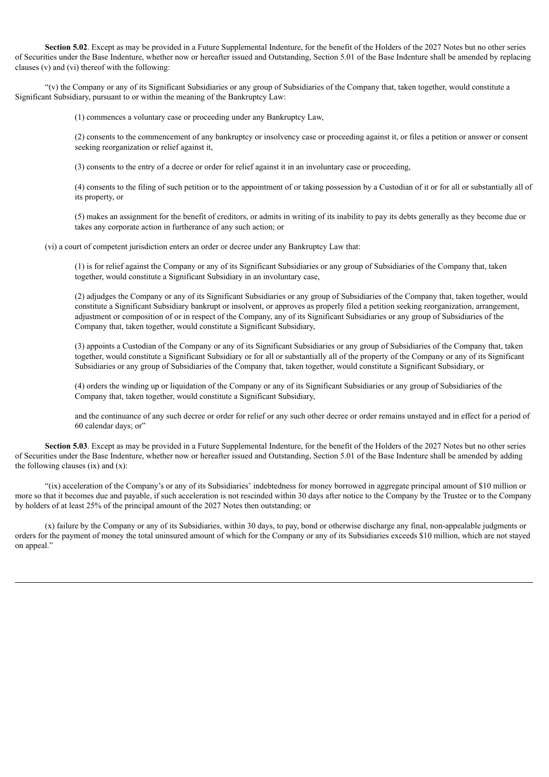**Section <b>5.02**. Except as may be provided in a Future Supplemental Indenture, for the benefit of the Holders of the 2027 Notes but no other series of Securities under the Base Indenture, whether now or hereafter issued and Outstanding, Section 5.01 of the Base Indenture shall be amended by replacing clauses (v) and (vi) thereof with the following:

"(v) the Company or any of its Significant Subsidiaries or any group of Subsidiaries of the Company that, taken together, would constitute a Significant Subsidiary, pursuant to or within the meaning of the Bankruptcy Law:

(1) commences a voluntary case or proceeding under any Bankruptcy Law,

(2) consents to the commencement of any bankruptcy or insolvency case or proceeding against it, or files a petition or answer or consent seeking reorganization or relief against it,

(3) consents to the entry of a decree or order for relief against it in an involuntary case or proceeding,

(4) consents to the filing of such petition or to the appointment of or taking possession by a Custodian of it or for all or substantially all of its property, or

(5) makes an assignment for the benefit of creditors, or admits in writing of its inability to pay its debts generally as they become due or takes any corporate action in furtherance of any such action; or

(vi) a court of competent jurisdiction enters an order or decree under any Bankruptcy Law that:

(1) is for relief against the Company or any of its Significant Subsidiaries or any group of Subsidiaries of the Company that, taken together, would constitute a Significant Subsidiary in an involuntary case,

(2) adjudges the Company or any of its Significant Subsidiaries or any group of Subsidiaries of the Company that, taken together, would constitute a Significant Subsidiary bankrupt or insolvent, or approves as properly filed a petition seeking reorganization, arrangement, adjustment or composition of or in respect of the Company, any of its Significant Subsidiaries or any group of Subsidiaries of the Company that, taken together, would constitute a Significant Subsidiary,

(3) appoints a Custodian of the Company or any of its Significant Subsidiaries or any group of Subsidiaries of the Company that, taken together, would constitute a Significant Subsidiary or for all or substantially all of the property of the Company or any of its Significant Subsidiaries or any group of Subsidiaries of the Company that, taken together, would constitute a Significant Subsidiary, or

(4) orders the winding up or liquidation of the Company or any of its Significant Subsidiaries or any group of Subsidiaries of the Company that, taken together, would constitute a Significant Subsidiary,

and the continuance of any such decree or order for relief or any such other decree or order remains unstayed and in effect for a period of 60 calendar days; or"

**Section <b>5.03**. Except as may be provided in a Future Supplemental Indenture, for the benefit of the Holders of the 2027 Notes but no other series of Securities under the Base Indenture, whether now or hereafter issued and Outstanding, Section 5.01 of the Base Indenture shall be amended by adding the following clauses  $(ix)$  and  $(x)$ :

"(ix) acceleration of the Company's or any of its Subsidiaries' indebtedness for money borrowed in aggregate principal amount of \$10 million or more so that it becomes due and payable, if such acceleration is not rescinded within 30 days after notice to the Company by the Trustee or to the Company by holders of at least 25% of the principal amount of the 2027 Notes then outstanding; or

(x) failure by the Company or any of its Subsidiaries, within 30 days, to pay, bond or otherwise discharge any final, non-appealable judgments or orders for the payment of money the total uninsured amount of which for the Company or any of its Subsidiaries exceeds \$10 million, which are not stayed on appeal."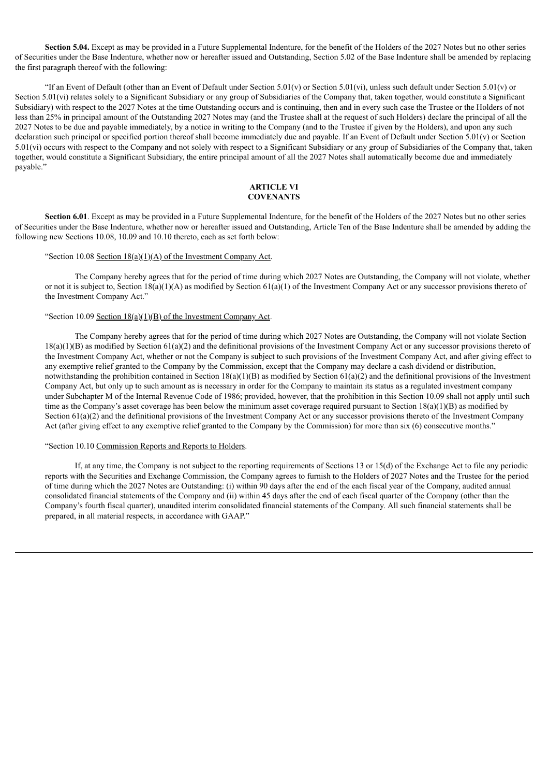**Section <b>5.04.** Except as may be provided in a Future Supplemental Indenture, for the benefit of the Holders of the 2027 Notes but no other series of Securities under the Base Indenture, whether now or hereafter issued and Outstanding, Section 5.02 of the Base Indenture shall be amended by replacing the first paragraph thereof with the following:

"If an Event of Default (other than an Event of Default under Section  $5.01(v)$  or Section  $5.01(v)$ ), unless such default under Section  $5.01(v)$  or Section 5.01(vi) relates solely to a Significant Subsidiary or any group of Subsidiaries of the Company that, taken together, would constitute a Significant Subsidiary) with respect to the 2027 Notes at the time Outstanding occurs and is continuing, then and in every such case the Trustee or the Holders of not less than 25% in principal amount of the Outstanding 2027 Notes may (and the Trustee shall at the request of such Holders) declare the principal of all the 2027 Notes to be due and payable immediately, by a notice in writing to the Company (and to the Trustee if given by the Holders), and upon any such declaration such principal or specified portion thereof shall become immediately due and payable. If an Event of Default under Section  $5.01(v)$  or Section 5.01(vi) occurs with respect to the Company and not solely with respect to a Significant Subsidiary or any group of Subsidiaries of the Company that, taken together, would constitute a Significant Subsidiary, the entire principal amount of all the 2027 Notes shall automatically become due and immediately payable."

#### **ARTICLE VI COVENANTS**

**Section 6.01**. Except as may be provided in a Future Supplemental Indenture, for the benefit of the Holders of the 2027 Notes but no other series of Securities under the Base Indenture, whether now or hereafter issued and Outstanding, Article Ten of the Base Indenture shall be amended by adding the following new Sections 10.08, 10.09 and 10.10 thereto, each as set forth below:

#### "Section 10.08 Section  $18(a)(1)(A)$  of the Investment Company Act.

The Company hereby agrees that for the period of time during which 2027 Notes are Outstanding, the Company will not violate, whether or not it is subject to, Section  $18(a)(1)(A)$  as modified by Section  $61(a)(1)$  of the Investment Company Act or any successor provisions thereto of the Investment Company Act."

#### "Section 10.09 Section  $18(a)(1)(B)$  of the Investment Company Act.

The Company hereby agrees that for the period of time during which 2027 Notes are Outstanding, the Company will not violate Section  $18(a)(1)(B)$  as modified by Section  $61(a)(2)$  and the definitional provisions of the Investment Company Act or any successor provisions thereto of the Investment Company Act, whether or not the Company is subject to such provisions of the Investment Company Act, and after giving effect to any exemptive relief granted to the Company by the Commission, except that the Company may declare a cash dividend or distribution, notwithstanding the prohibition contained in Section  $18(a)(1)(B)$  as modified by Section  $61(a)(2)$  and the definitional provisions of the Investment Company Act, but only up to such amount as is necessary in order for the Company to maintain its status as a regulated investment company under Subchapter M of the Internal Revenue Code of 1986; provided, however, that the prohibition in this Section 10.09 shall not apply until such time as the Company's asset coverage has been below the minimum asset coverage required pursuant to Section  $18(a)(1)(B)$  as modified by Section 61(a)(2) and the definitional provisions of the Investment Company Act or any successor provisions thereto of the Investment Company Act (after giving effect to any exemptive relief granted to the Company by the Commission) for more than six (6) consecutive months."

#### "Section 10.10 Commission Reports and Reports to Holders.

If, at any time, the Company is not subject to the reporting requirements of Sections 13 or 15(d) of the Exchange Act to file any periodic reports with the Securities and Exchange Commission, the Company agrees to furnish to the Holders of 2027 Notes and the Trustee for the period of time during which the 2027 Notes are Outstanding: (i) within 90 days after the end of the each fiscal year of the Company, audited annual consolidated financial statements of the Company and (ii) within 45 days after the end of each fiscal quarter of the Company (other than the Company's fourth fiscal quarter), unaudited interim consolidated financial statements of the Company. All such financial statements shall be prepared, in all material respects, in accordance with GAAP."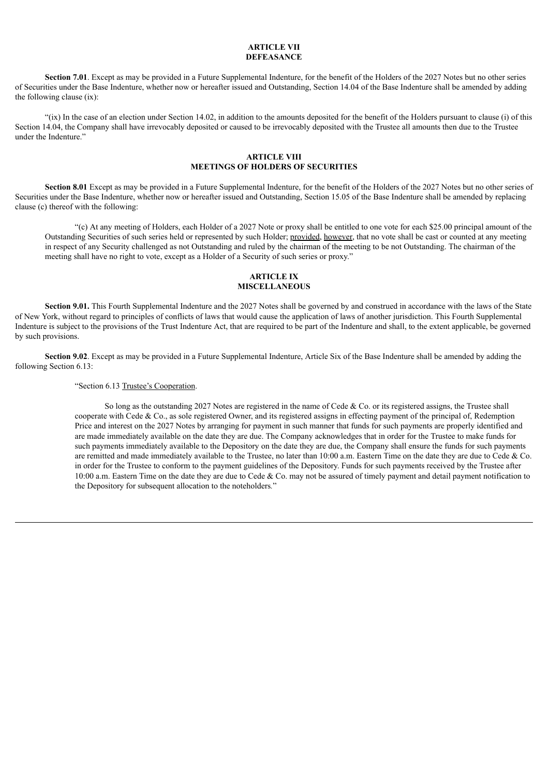#### **ARTICLE VII DEFEASANCE**

**Section 7.01**. Except as may be provided in a Future Supplemental Indenture, for the benefit of the Holders of the 2027 Notes but no other series of Securities under the Base Indenture, whether now or hereafter issued and Outstanding, Section 14.04 of the Base Indenture shall be amended by adding the following clause (ix):

"(ix) In the case of an election under Section 14.02, in addition to the amounts deposited for the benefit of the Holders pursuant to clause (i) of this Section 14.04, the Company shall have irrevocably deposited or caused to be irrevocably deposited with the Trustee all amounts then due to the Trustee under the Indenture."

#### **ARTICLE VIII MEETINGS OF HOLDERS OF SECURITIES**

**Section 8.01** Except as may be provided in a Future Supplemental Indenture, for the benefit of the Holders of the 2027 Notes but no other series of Securities under the Base Indenture, whether now or hereafter issued and Outstanding, Section 15.05 of the Base Indenture shall be amended by replacing clause (c) thereof with the following:

"(c) At any meeting of Holders, each Holder of a 2027 Note or proxy shall be entitled to one vote for each \$25.00 principal amount of the Outstanding Securities of such series held or represented by such Holder; provided, however, that no vote shall be cast or counted at any meeting in respect of any Security challenged as not Outstanding and ruled by the chairman of the meeting to be not Outstanding. The chairman of the meeting shall have no right to vote, except as a Holder of a Security of such series or proxy."

#### **ARTICLE IX MISCELLANEOUS**

**Section 9.01.** This Fourth Supplemental Indenture and the 2027 Notes shall be governed by and construed in accordance with the laws of the State of New York, without regard to principles of conflicts of laws that would cause the application of laws of another jurisdiction. This Fourth Supplemental Indenture is subject to the provisions of the Trust Indenture Act, that are required to be part of the Indenture and shall, to the extent applicable, be governed by such provisions.

**Section 9.02**. Except as may be provided in a Future Supplemental Indenture, Article Six of the Base Indenture shall be amended by adding the following Section 6.13:

"Section 6.13 Trustee's Cooperation.

So long as the outstanding 2027 Notes are registered in the name of Cede & Co. or its registered assigns, the Trustee shall cooperate with Cede & Co., as sole registered Owner, and its registered assigns in effecting payment of the principal of, Redemption Price and interest on the 2027 Notes by arranging for payment in such manner that funds for such payments are properly identified and are made immediately available on the date they are due. The Company acknowledges that in order for the Trustee to make funds for such payments immediately available to the Depository on the date they are due, the Company shall ensure the funds for such payments are remitted and made immediately available to the Trustee, no later than  $10:00$  a.m. Eastern Time on the date they are due to Cede & Co. in order for the Trustee to conform to the payment guidelines of the Depository. Funds for such payments received by the Trustee after 10:00 a.m. Eastern Time on the date they are due to Cede & Co. may not be assured of timely payment and detail payment notification to the Depository for subsequent allocation to the noteholders*.*"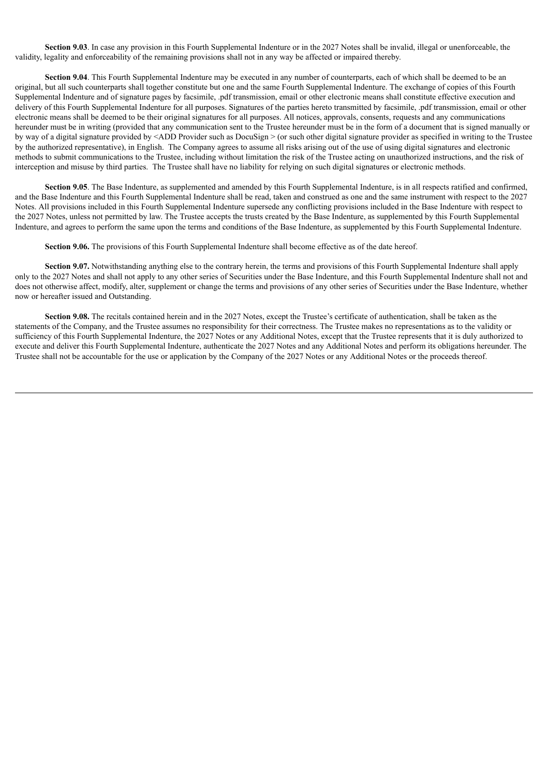**Section 9.03**. In case any provision in this Fourth Supplemental Indenture or in the 2027 Notes shall be invalid, illegal or unenforceable, the validity, legality and enforceability of the remaining provisions shall not in any way be affected or impaired thereby.

**Section 9.04**. This Fourth Supplemental Indenture may be executed in any number of counterparts, each of which shall be deemed to be an original, but all such counterparts shall together constitute but one and the same Fourth Supplemental Indenture. The exchange of copies of this Fourth Supplemental Indenture and of signature pages by facsimile, .pdf transmission, email or other electronic means shall constitute effective execution and delivery of this Fourth Supplemental Indenture for all purposes. Signatures of the parties hereto transmitted by facsimile, .pdf transmission, email or other electronic means shall be deemed to be their original signatures for all purposes. All notices, approvals, consents, requests and any communications hereunder must be in writing (provided that any communication sent to the Trustee hereunder must be in the form of a document that is signed manually or by way of a digital signature provided by <ADD Provider such as DocuSign > (or such other digital signature provider as specified in writing to the Trustee by the authorized representative), in English. The Company agrees to assume all risks arising out of the use of using digital signatures and electronic methods to submit communications to the Trustee, including without limitation the risk of the Trustee acting on unauthorized instructions, and the risk of interception and misuse by third parties. The Trustee shall have no liability for relying on such digital signatures or electronic methods.

**Section 9.05**. The Base Indenture, as supplemented and amended by this Fourth Supplemental Indenture, is in all respects ratified and confirmed, and the Base Indenture and this Fourth Supplemental Indenture shall be read, taken and construed as one and the same instrument with respect to the 2027 Notes. All provisions included in this Fourth Supplemental Indenture supersede any conflicting provisions included in the Base Indenture with respect to the 2027 Notes, unless not permitted by law. The Trustee accepts the trusts created by the Base Indenture, as supplemented by this Fourth Supplemental Indenture, and agrees to perform the same upon the terms and conditions of the Base Indenture, as supplemented by this Fourth Supplemental Indenture.

**Section 9.06.** The provisions of this Fourth Supplemental Indenture shall become effective as of the date hereof.

**Section 9.07.** Notwithstanding anything else to the contrary herein, the terms and provisions of this Fourth Supplemental Indenture shall apply only to the 2027 Notes and shall not apply to any other series of Securities under the Base Indenture, and this Fourth Supplemental Indenture shall not and does not otherwise affect, modify, alter, supplement or change the terms and provisions of any other series of Securities under the Base Indenture, whether now or hereafter issued and Outstanding.

**Section 9.08.** The recitals contained herein and in the 2027 Notes, except the Trustee's certificate of authentication, shall be taken as the statements of the Company, and the Trustee assumes no responsibility for their correctness. The Trustee makes no representations as to the validity or sufficiency of this Fourth Supplemental Indenture, the 2027 Notes or any Additional Notes, except that the Trustee represents that it is duly authorized to execute and deliver this Fourth Supplemental Indenture, authenticate the 2027 Notes and any Additional Notes and perform its obligations hereunder. The Trustee shall not be accountable for the use or application by the Company of the 2027 Notes or any Additional Notes or the proceeds thereof.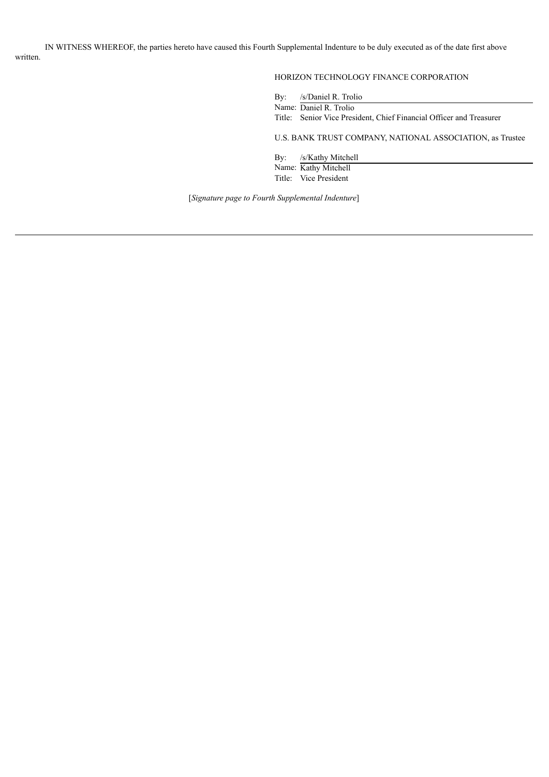IN WITNESS WHEREOF, the parties hereto have caused this Fourth Supplemental Indenture to be duly executed as of the date first above written.

#### HORIZON TECHNOLOGY FINANCE CORPORATION

By: /s/Daniel R. Trolio Name: Daniel R. Trolio

Title: Senior Vice President, Chief Financial Officer and Treasurer

U.S. BANK TRUST COMPANY, NATIONAL ASSOCIATION, as Trustee

By: /s/Kathy Mitchell Name: Kathy Mitchell Title: Vice President

[*Signature page to Fourth Supplemental Indenture*]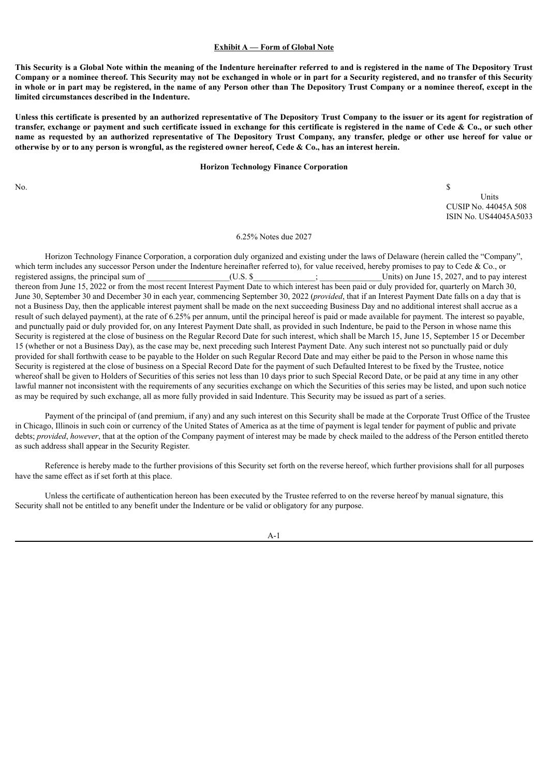#### **Exhibit A — Form of Global Note**

This Security is a Global Note within the meaning of the Indenture hereinafter referred to and is registered in the name of The Depository Trust Company or a nominee thereof. This Security may not be exchanged in whole or in part for a Security registered, and no transfer of this Security in whole or in part may be registered, in the name of any Person other than The Depository Trust Company or a nominee thereof, except in the **limited circumstances described in the Indenture.**

Unless this certificate is presented by an authorized representative of The Depository Trust Company to the issuer or its agent for registration of transfer, exchange or payment and such certificate issued in exchange for this certificate is registered in the name of Cede & Co., or such other name as requested by an authorized representative of The Depository Trust Company, any transfer, pledge or other use hereof for value or otherwise by or to any person is wrongful, as the registered owner hereof, Cede & Co., has an interest herein.

#### **Horizon Technology Finance Corporation**

No.  $\sim$ 

Units CUSIP No. 44045A 508 ISIN No. US44045A5033

#### 6.25% Notes due 2027

Horizon Technology Finance Corporation, a corporation duly organized and existing under the laws of Delaware (herein called the "Company", which term includes any successor Person under the Indenture hereinafter referred to), for value received, hereby promises to pay to Cede & Co., or registered assigns, the principal sum of  $(U.S.$  \$  $)$ ;  $\qquad \qquad$  Units) on June 15, 2027, and to pay interest thereon from June 15, 2022 or from the most recent Interest Payment Date to which interest has been paid or duly provided for, quarterly on March 30, June 30, September 30 and December 30 in each year, commencing September 30, 2022 (*provided*, that if an Interest Payment Date falls on a day that is not a Business Day, then the applicable interest payment shall be made on the next succeeding Business Day and no additional interest shall accrue as a result of such delayed payment), at the rate of 6.25% per annum, until the principal hereof is paid or made available for payment. The interest so payable, and punctually paid or duly provided for, on any Interest Payment Date shall, as provided in such Indenture, be paid to the Person in whose name this Security is registered at the close of business on the Regular Record Date for such interest, which shall be March 15, June 15, September 15 or December 15 (whether or not a Business Day), as the case may be, next preceding such Interest Payment Date. Any such interest not so punctually paid or duly provided for shall forthwith cease to be payable to the Holder on such Regular Record Date and may either be paid to the Person in whose name this Security is registered at the close of business on a Special Record Date for the payment of such Defaulted Interest to be fixed by the Trustee, notice whereof shall be given to Holders of Securities of this series not less than 10 days prior to such Special Record Date, or be paid at any time in any other lawful manner not inconsistent with the requirements of any securities exchange on which the Securities of this series may be listed, and upon such notice as may be required by such exchange, all as more fully provided in said Indenture. This Security may be issued as part of a series.

Payment of the principal of (and premium, if any) and any such interest on this Security shall be made at the Corporate Trust Office of the Trustee in Chicago, Illinois in such coin or currency of the United States of America as at the time of payment is legal tender for payment of public and private debts; *provided*, *however*, that at the option of the Company payment of interest may be made by check mailed to the address of the Person entitled thereto as such address shall appear in the Security Register.

Reference is hereby made to the further provisions of this Security set forth on the reverse hereof, which further provisions shall for all purposes have the same effect as if set forth at this place.

Unless the certificate of authentication hereon has been executed by the Trustee referred to on the reverse hereof by manual signature, this Security shall not be entitled to any benefit under the Indenture or be valid or obligatory for any purpose.

A-1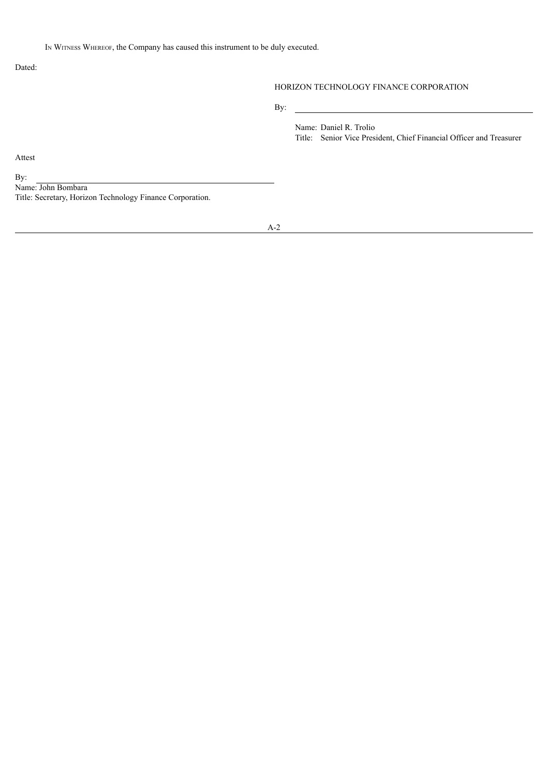Dated:

#### HORIZON TECHNOLOGY FINANCE CORPORATION

By:

Name: Daniel R. Trolio Title: Senior Vice President, Chief Financial Officer and Treasurer

Attest

By:

Name: John Bombara Title: Secretary, Horizon Technology Finance Corporation.

A-2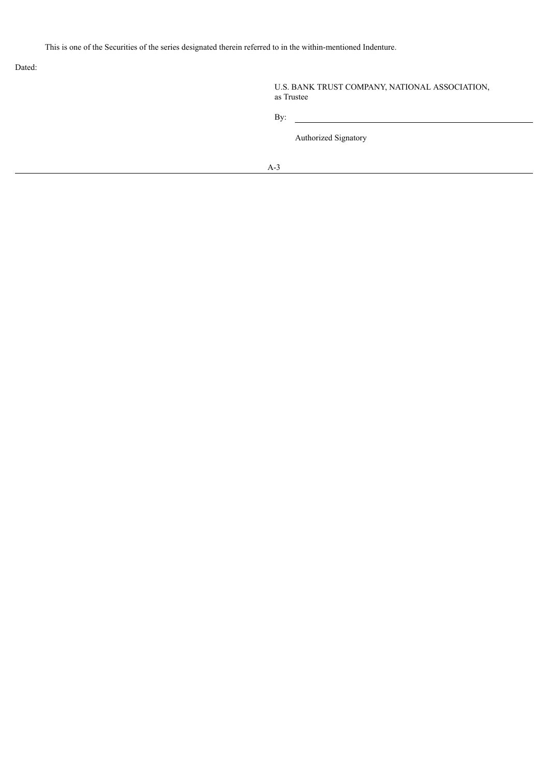This is one of the Securities of the series designated therein referred to in the within-mentioned Indenture.

Dated:

|            | U.S. BANK TRUST COMPANY, NATIONAL ASSOCIATION, |  |
|------------|------------------------------------------------|--|
| as Trustee |                                                |  |

By:

Authorized Signatory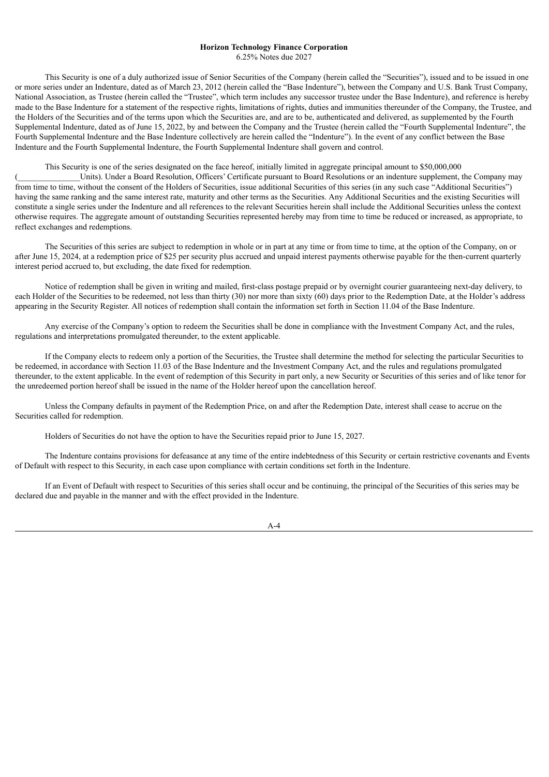#### **Horizon Technology Finance Corporation**

6.25% Notes due 2027

This Security is one of a duly authorized issue of Senior Securities of the Company (herein called the "Securities"), issued and to be issued in one or more series under an Indenture, dated as of March 23, 2012 (herein called the "Base Indenture"), between the Company and U.S. Bank Trust Company, National Association, as Trustee (herein called the "Trustee", which term includes any successor trustee under the Base Indenture), and reference is hereby made to the Base Indenture for a statement of the respective rights, limitations of rights, duties and immunities thereunder of the Company, the Trustee, and the Holders of the Securities and of the terms upon which the Securities are, and are to be, authenticated and delivered, as supplemented by the Fourth Supplemental Indenture, dated as of June 15, 2022, by and between the Company and the Trustee (herein called the "Fourth Supplemental Indenture", the Fourth Supplemental Indenture and the Base Indenture collectively are herein called the "Indenture"). In the event of any conflict between the Base Indenture and the Fourth Supplemental Indenture, the Fourth Supplemental Indenture shall govern and control.

This Security is one of the series designated on the face hereof, initially limited in aggregate principal amount to \$50,000,000

Units). Under a Board Resolution, Officers' Certificate pursuant to Board Resolutions or an indenture supplement, the Company may from time to time, without the consent of the Holders of Securities, issue additional Securities of this series (in any such case "Additional Securities") having the same ranking and the same interest rate, maturity and other terms as the Securities. Any Additional Securities and the existing Securities will constitute a single series under the Indenture and all references to the relevant Securities herein shall include the Additional Securities unless the context otherwise requires. The aggregate amount of outstanding Securities represented hereby may from time to time be reduced or increased, as appropriate, to reflect exchanges and redemptions.

The Securities of this series are subject to redemption in whole or in part at any time or from time to time, at the option of the Company, on or after June 15, 2024, at a redemption price of \$25 per security plus accrued and unpaid interest payments otherwise payable for the then-current quarterly interest period accrued to, but excluding, the date fixed for redemption.

Notice of redemption shall be given in writing and mailed, first-class postage prepaid or by overnight courier guaranteeing next-day delivery, to each Holder of the Securities to be redeemed, not less than thirty (30) nor more than sixty (60) days prior to the Redemption Date, at the Holder's address appearing in the Security Register. All notices of redemption shall contain the information set forth in Section 11.04 of the Base Indenture.

Any exercise of the Company's option to redeem the Securities shall be done in compliance with the Investment Company Act, and the rules, regulations and interpretations promulgated thereunder, to the extent applicable.

If the Company elects to redeem only a portion of the Securities, the Trustee shall determine the method for selecting the particular Securities to be redeemed, in accordance with Section 11.03 of the Base Indenture and the Investment Company Act, and the rules and regulations promulgated thereunder, to the extent applicable. In the event of redemption of this Security in part only, a new Security or Securities of this series and of like tenor for the unredeemed portion hereof shall be issued in the name of the Holder hereof upon the cancellation hereof.

Unless the Company defaults in payment of the Redemption Price, on and after the Redemption Date, interest shall cease to accrue on the Securities called for redemption.

Holders of Securities do not have the option to have the Securities repaid prior to June 15, 2027.

The Indenture contains provisions for defeasance at any time of the entire indebtedness of this Security or certain restrictive covenants and Events of Default with respect to this Security, in each case upon compliance with certain conditions set forth in the Indenture.

If an Event of Default with respect to Securities of this series shall occur and be continuing, the principal of the Securities of this series may be declared due and payable in the manner and with the effect provided in the Indenture.

A-4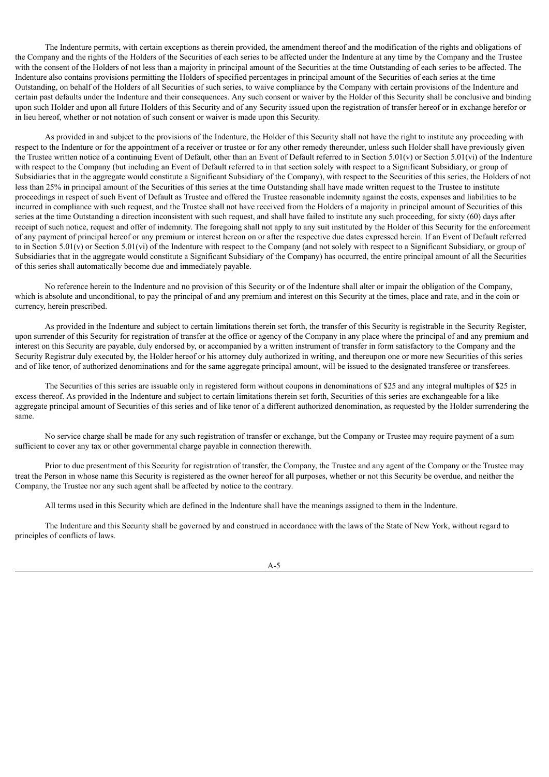The Indenture permits, with certain exceptions as therein provided, the amendment thereof and the modification of the rights and obligations of the Company and the rights of the Holders of the Securities of each series to be affected under the Indenture at any time by the Company and the Trustee with the consent of the Holders of not less than a majority in principal amount of the Securities at the time Outstanding of each series to be affected. The Indenture also contains provisions permitting the Holders of specified percentages in principal amount of the Securities of each series at the time Outstanding, on behalf of the Holders of all Securities of such series, to waive compliance by the Company with certain provisions of the Indenture and certain past defaults under the Indenture and their consequences. Any such consent or waiver by the Holder of this Security shall be conclusive and binding upon such Holder and upon all future Holders of this Security and of any Security issued upon the registration of transfer hereof or in exchange herefor or in lieu hereof, whether or not notation of such consent or waiver is made upon this Security.

As provided in and subject to the provisions of the Indenture, the Holder of this Security shall not have the right to institute any proceeding with respect to the Indenture or for the appointment of a receiver or trustee or for any other remedy thereunder, unless such Holder shall have previously given the Trustee written notice of a continuing Event of Default, other than an Event of Default referred to in Section 5.01(v) or Section 5.01(vi) of the Indenture with respect to the Company (but including an Event of Default referred to in that section solely with respect to a Significant Subsidiary, or group of Subsidiaries that in the aggregate would constitute a Significant Subsidiary of the Company), with respect to the Securities of this series, the Holders of not less than 25% in principal amount of the Securities of this series at the time Outstanding shall have made written request to the Trustee to institute proceedings in respect of such Event of Default as Trustee and offered the Trustee reasonable indemnity against the costs, expenses and liabilities to be incurred in compliance with such request, and the Trustee shall not have received from the Holders of a majority in principal amount of Securities of this series at the time Outstanding a direction inconsistent with such request, and shall have failed to institute any such proceeding, for sixty (60) days after receipt of such notice, request and offer of indemnity. The foregoing shall not apply to any suit instituted by the Holder of this Security for the enforcement of any payment of principal hereof or any premium or interest hereon on or after the respective due dates expressed herein. If an Event of Default referred to in Section  $5.01(v)$  or Section  $5.01(vi)$  of the Indenture with respect to the Company (and not solely with respect to a Significant Subsidiary, or group of Subsidiaries that in the aggregate would constitute a Significant Subsidiary of the Company) has occurred, the entire principal amount of all the Securities of this series shall automatically become due and immediately payable.

No reference herein to the Indenture and no provision of this Security or of the Indenture shall alter or impair the obligation of the Company, which is absolute and unconditional, to pay the principal of and any premium and interest on this Security at the times, place and rate, and in the coin or currency, herein prescribed.

As provided in the Indenture and subject to certain limitations therein set forth, the transfer of this Security is registrable in the Security Register, upon surrender of this Security for registration of transfer at the office or agency of the Company in any place where the principal of and any premium and interest on this Security are payable, duly endorsed by, or accompanied by a written instrument of transfer in form satisfactory to the Company and the Security Registrar duly executed by, the Holder hereof or his attorney duly authorized in writing, and thereupon one or more new Securities of this series and of like tenor, of authorized denominations and for the same aggregate principal amount, will be issued to the designated transferee or transferees.

The Securities of this series are issuable only in registered form without coupons in denominations of \$25 and any integral multiples of \$25 in excess thereof. As provided in the Indenture and subject to certain limitations therein set forth, Securities of this series are exchangeable for a like aggregate principal amount of Securities of this series and of like tenor of a different authorized denomination, as requested by the Holder surrendering the same.

No service charge shall be made for any such registration of transfer or exchange, but the Company or Trustee may require payment of a sum sufficient to cover any tax or other governmental charge payable in connection therewith.

Prior to due presentment of this Security for registration of transfer, the Company, the Trustee and any agent of the Company or the Trustee may treat the Person in whose name this Security is registered as the owner hereof for all purposes, whether or not this Security be overdue, and neither the Company, the Trustee nor any such agent shall be affected by notice to the contrary.

All terms used in this Security which are defined in the Indenture shall have the meanings assigned to them in the Indenture.

The Indenture and this Security shall be governed by and construed in accordance with the laws of the State of New York, without regard to principles of conflicts of laws.

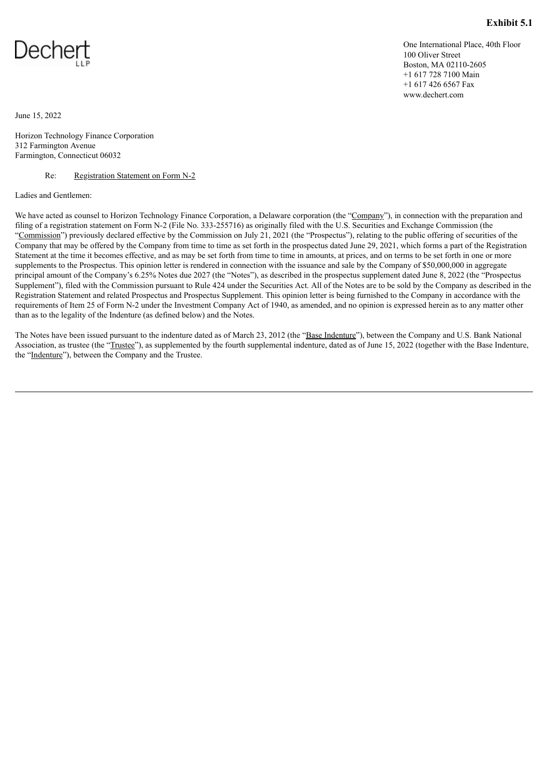

<span id="page-19-0"></span>

One International Place, 40th Floor 100 Oliver Street Boston, MA 02110-2605 +1 617 728 7100 Main +1 617 426 6567 Fax www.dechert.com

June 15, 2022

Horizon Technology Finance Corporation 312 Farmington Avenue Farmington, Connecticut 06032

Re: Registration Statement on Form N-2

Ladies and Gentlemen:

We have acted as counsel to Horizon Technology Finance Corporation, a Delaware corporation (the "Company"), in connection with the preparation and filing of a registration statement on Form N-2 (File No. 333-255716) as originally filed with the U.S. Securities and Exchange Commission (the "Commission") previously declared effective by the Commission on July 21, 2021 (the "Prospectus"), relating to the public offering of securities of the Company that may be offered by the Company from time to time as set forth in the prospectus dated June 29, 2021, which forms a part of the Registration Statement at the time it becomes effective, and as may be set forth from time to time in amounts, at prices, and on terms to be set forth in one or more supplements to the Prospectus. This opinion letter is rendered in connection with the issuance and sale by the Company of \$50,000,000 in aggregate principal amount of the Company's 6.25% Notes due 2027 (the "Notes"), as described in the prospectus supplement dated June 8, 2022 (the "Prospectus Supplement"), filed with the Commission pursuant to Rule 424 under the Securities Act. All of the Notes are to be sold by the Company as described in the Registration Statement and related Prospectus and Prospectus Supplement. This opinion letter is being furnished to the Company in accordance with the requirements of Item 25 of Form N-2 under the Investment Company Act of 1940, as amended, and no opinion is expressed herein as to any matter other than as to the legality of the Indenture (as defined below) and the Notes.

The Notes have been issued pursuant to the indenture dated as of March 23, 2012 (the "Base Indenture"), between the Company and U.S. Bank National Association, as trustee (the "Trustee"), as supplemented by the fourth supplemental indenture, dated as of June 15, 2022 (together with the Base Indenture, the "Indenture"), between the Company and the Trustee.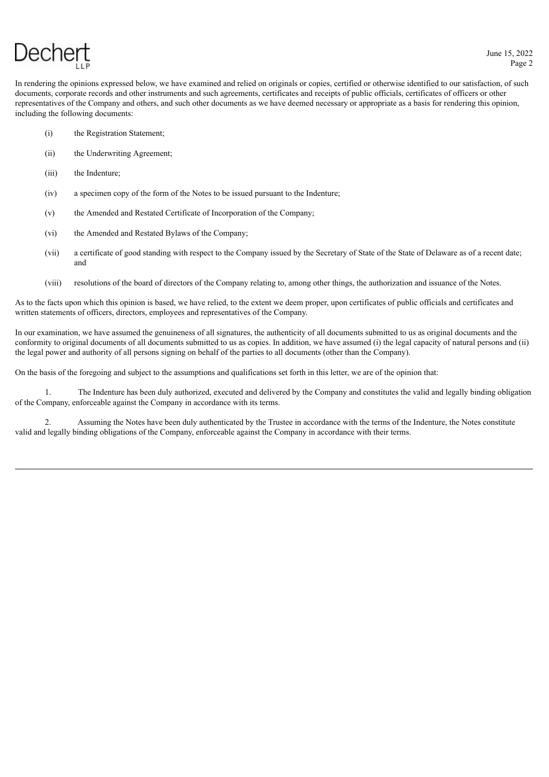In rendering the opinions expressed below, we have examined and relied on originals or copies, certified or otherwise identified to our satisfaction, of such documents, corporate records and other instruments and such agreements, certificates and receipts of public officials, certificates of officers or other representatives of the Company and others, and such other documents as we have deemed necessary or appropriate as a basis for rendering this opinion, including the following documents:

- (i) the Registration Statement;
- (ii) the Underwriting Agreement;
- (iii) the Indenture;
- (iv) a specimen copy of the form of the Notes to be issued pursuant to the Indenture;
- (v) the Amended and Restated Certificate of Incorporation of the Company;
- (vi) the Amended and Restated Bylaws of the Company;
- (vii) a certificate of good standing with respect to the Company issued by the Secretary of State of the State of Delaware as of a recent date; and
- (viii) resolutions of the board of directors of the Company relating to, among other things, the authorization and issuance of the Notes.

As to the facts upon which this opinion is based, we have relied, to the extent we deem proper, upon certificates of public officials and certificates and written statements of officers, directors, employees and representatives of the Company.

In our examination, we have assumed the genuineness of all signatures, the authenticity of all documents submitted to us as original documents and the conformity to original documents of all documents submitted to us as copies. In addition, we have assumed (i) the legal capacity of natural persons and (ii) the legal power and authority of all persons signing on behalf of the parties to all documents (other than the Company).

On the basis of the foregoing and subject to the assumptions and qualifications set forth in this letter, we are of the opinion that:

1. The Indenture has been duly authorized, executed and delivered by the Company and constitutes the valid and legally binding obligation of the Company, enforceable against the Company in accordance with its terms.

2. Assuming the Notes have been duly authenticated by the Trustee in accordance with the terms of the Indenture, the Notes constitute valid and legally binding obligations of the Company, enforceable against the Company in accordance with their terms.